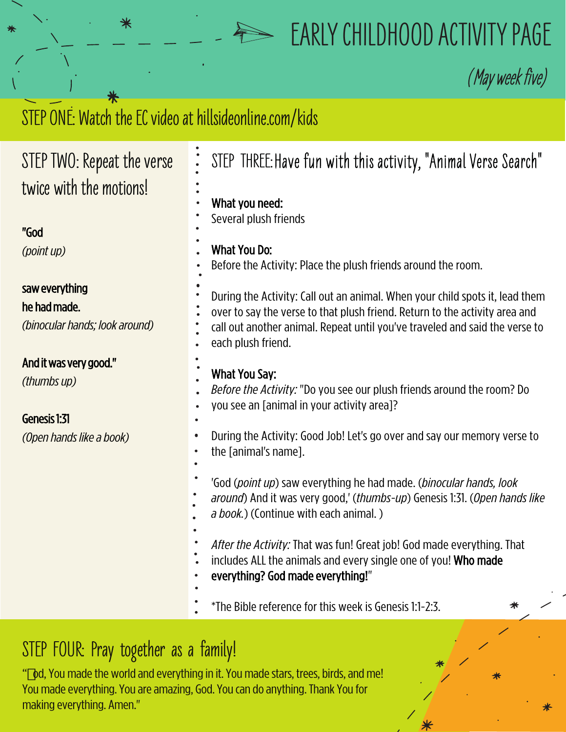## **EARLY CHILDHOOD ACTIVITY PAGE**

**(**May week five)

## STEP ONE: Watch the EC video at hillsideonline.com/kids

⋇

| STEP TWO: Repeat the verse                                       | STEP THREE: Have fun with this activity, "Animal Verse Search"                                                                                                                                                                                                   |
|------------------------------------------------------------------|------------------------------------------------------------------------------------------------------------------------------------------------------------------------------------------------------------------------------------------------------------------|
| twice with the motions!                                          | What you need:<br>Several plush friends                                                                                                                                                                                                                          |
| "God                                                             |                                                                                                                                                                                                                                                                  |
| (point up)                                                       | What You Do:<br>Before the Activity: Place the plush friends around the room.                                                                                                                                                                                    |
| saw everything<br>he had made.<br>(binocular hands; look around) | During the Activity: Call out an animal. When your child spots it, lead them<br>over to say the verse to that plush friend. Return to the activity area and<br>call out another animal. Repeat until you've traveled and said the verse to<br>each plush friend. |
| And it was very good."<br>(thumbs up)<br>Genesis 1:31            | <b>What You Say:</b><br>Before the Activity: "Do you see our plush friends around the room? Do<br>you see an [animal in your activity area]?                                                                                                                     |
| (Open hands like a book)                                         | During the Activity: Good Job! Let's go over and say our memory verse to<br>the [animal's name].                                                                                                                                                                 |
|                                                                  | 'God (point up) saw everything he had made. (binocular hands, look<br>around) And it was very good,' (thumbs-up) Genesis 1:31. (Open hands like<br>a book.) (Continue with each animal.)                                                                         |
|                                                                  | After the Activity: That was fun! Great job! God made everything. That<br>includes ALL the animals and every single one of you! Who made<br>everything? God made everything!"                                                                                    |
|                                                                  | *The Bible reference for this week is Genesis 1:1-2:3.                                                                                                                                                                                                           |
|                                                                  |                                                                                                                                                                                                                                                                  |

## **STEP FOUR: Pray together as a family!**

" od, You made the world and everything in it. You made stars, trees, birds, and me! You made everything. You are amazing, God. You can do anything. Thank You for making everything. Amen."